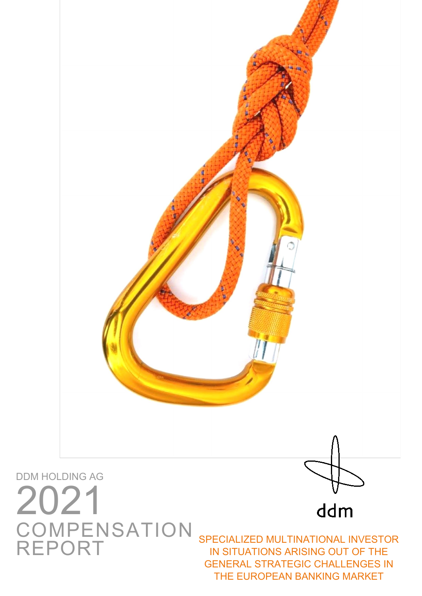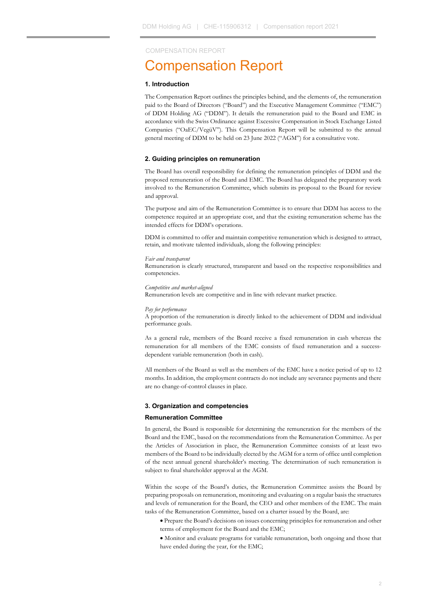# Compensation Report

#### **1. Introduction**

The Compensation Report outlines the principles behind, and the elements of, the remuneration paid to the Board of Directors ("Board") and the Executive Management Committee ("EMC") of DDM Holding AG ("DDM"). It details the remuneration paid to the Board and EMC in accordance with the Swiss Ordinance against Excessive Compensation in Stock Exchange Listed Companies ("OaEC/VegüV"). This Compensation Report will be submitted to the annual general meeting of DDM to be held on 23 June 2022 ("AGM") for a consultative vote.

#### **2. Guiding principles on remuneration**

The Board has overall responsibility for defining the remuneration principles of DDM and the proposed remuneration of the Board and EMC. The Board has delegated the preparatory work involved to the Remuneration Committee, which submits its proposal to the Board for review and approval.

The purpose and aim of the Remuneration Committee is to ensure that DDM has access to the competence required at an appropriate cost, and that the existing remuneration scheme has the intended effects for DDM's operations.

DDM is committed to offer and maintain competitive remuneration which is designed to attract, retain, and motivate talented individuals, along the following principles:

#### *Fair and transparent*

Remuneration is clearly structured, transparent and based on the respective responsibilities and competencies.

#### *Competitive and market-aligned*

Remuneration levels are competitive and in line with relevant market practice.

#### *Pay for performance*

A proportion of the remuneration is directly linked to the achievement of DDM and individual performance goals.

As a general rule, members of the Board receive a fixed remuneration in cash whereas the remuneration for all members of the EMC consists of fixed remuneration and a successdependent variable remuneration (both in cash).

All members of the Board as well as the members of the EMC have a notice period of up to 12 months. In addition, the employment contracts do not include any severance payments and there are no change-of-control clauses in place.

#### **3. Organization and competencies**

#### **Remuneration Committee**

In general, the Board is responsible for determining the remuneration for the members of the Board and the EMC, based on the recommendations from the Remuneration Committee. As per the Articles of Association in place, the Remuneration Committee consists of at least two members of the Board to be individually elected by the AGM for a term of office until completion of the next annual general shareholder's meeting. The determination of such remuneration is subject to final shareholder approval at the AGM.

Within the scope of the Board's duties, the Remuneration Committee assists the Board by preparing proposals on remuneration, monitoring and evaluating on a regular basis the structures and levels of remuneration for the Board, the CEO and other members of the EMC. The main tasks of the Remuneration Committee, based on a charter issued by the Board, are:

- Prepare the Board's decisions on issues concerning principles for remuneration and other terms of employment for the Board and the EMC;
- Monitor and evaluate programs for variable remuneration, both ongoing and those that have ended during the year, for the EMC;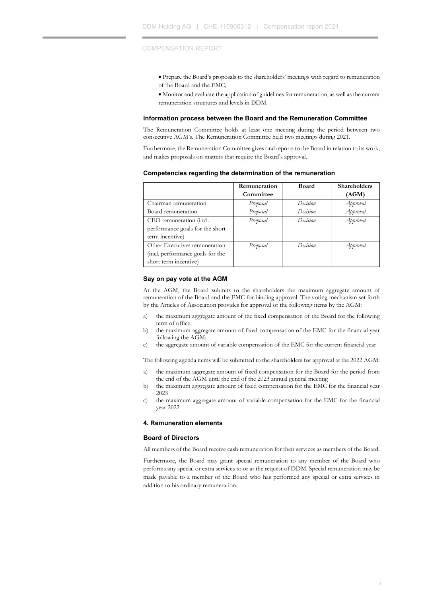- Prepare the Board's proposals to the shareholders' meetings with regard to remuneration of the Board and the EMC;
- Monitor and evaluate the application of guidelines for remuneration, as well as the current remuneration structures and levels in DDM.

#### **Information process between the Board and the Remuneration Committee**

The Remuneration Committee holds at least one meeting during the period between two consecutive AGM's. The Remuneration Committee held two meetings during 2021.

Furthermore, the Remuneration Committee gives oral reports to the Board in relation to its work, and makes proposals on matters that require the Board's approval.

# **Competencies regarding the determination of the remuneration**

|                                  | Remuneration | Board    | <b>Shareholders</b> |
|----------------------------------|--------------|----------|---------------------|
|                                  | Committee    |          | (AGM)               |
| Chairman remuneration            | Proposal     | Decision | Approval            |
| Board remuneration               | Proposal     | Decision | Approval            |
| CEO remuneration (incl.          | Proposal     | Decision | Approval            |
| performance goals for the short  |              |          |                     |
| term incentive)                  |              |          |                     |
| Other Executives remuneration    | Proposal     | Decision | Approval            |
| (incl. performance goals for the |              |          |                     |
| short term incentive)            |              |          |                     |

#### **Say on pay vote at the AGM**

At the AGM, the Board submits to the shareholders the maximum aggregate amount of remuneration of the Board and the EMC for binding approval. The voting mechanism set forth by the Articles of Association provides for approval of the following items by the AGM:

- a) the maximum aggregate amount of the fixed compensation of the Board for the following term of office;
- b) the maximum aggregate amount of fixed compensation of the EMC for the financial year following the AGM;
- c) the aggregate amount of variable compensation of the EMC for the current financial year

The following agenda items will be submitted to the shareholders for approval at the 2022 AGM:

- a) the maximum aggregate amount of fixed compensation for the Board for the period from the end of the AGM until the end of the 2023 annual general meeting
- b) the maximum aggregate amount of fixed compensation for the EMC for the financial year 2023
- c) the maximum aggregate amount of variable compensation for the EMC for the financial year 2022

#### **4. Remuneration elements**

#### **Board of Directors**

All members of the Board receive cash remuneration for their services as members of the Board.

Furthermore, the Board may grant special remuneration to any member of the Board who performs any special or extra services to or at the request of DDM. Special remuneration may be made payable to a member of the Board who has performed any special or extra services in addition to his ordinary remuneration.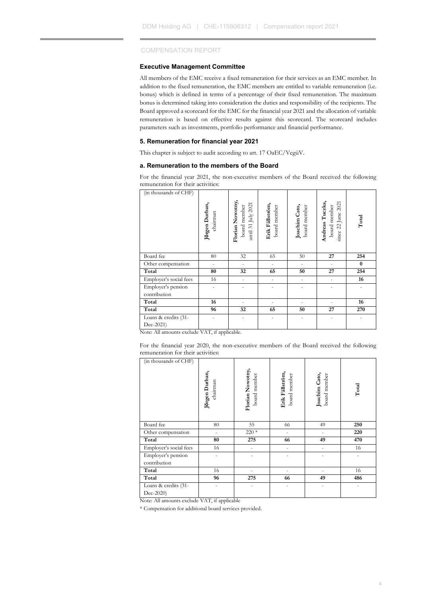#### **Executive Management Committee**

All members of the EMC receive a fixed remuneration for their services as an EMC member. In addition to the fixed remuneration, the EMC members are entitled to variable remuneration (i.e. bonus) which is defined in terms of a percentage of their fixed remuneration. The maximum bonus is determined taking into consideration the duties and responsibility of the recipients. The Board approved a scorecard for the EMC for the financial year 2021 and the allocation of variable remuneration is based on effective results against this scorecard. The scorecard includes parameters such as investments, portfolio performance and financial performance.

# **5. Remuneration for financial year 2021**

This chapter is subject to audit according to art. 17 OaEC/VegüV.

# **a. Remuneration to the members of the Board**

For the financial year 2021, the non-executive members of the Board received the following remuneration for their activities:

| (in thousands of CHF)  |                            |                                                        |                                 |                               |                                                          |          |
|------------------------|----------------------------|--------------------------------------------------------|---------------------------------|-------------------------------|----------------------------------------------------------|----------|
|                        | Jörgen Durban,<br>chairman | Florian Nowotny,<br>until 31 July 2021<br>board member | Erik Fällström,<br>board member | Joachim Cato,<br>board member | Andreas Tuczka,<br>2021<br>board member<br>since 22 June | Total    |
| Board fee              | 80                         | 32                                                     | 65                              | 50                            | 27                                                       | 254      |
| Other compensation     |                            |                                                        |                                 |                               |                                                          | $\bf{0}$ |
| Total                  | 80                         | 32                                                     | 65                              | 50                            | 27                                                       | 254      |
| Employer's social fees | 16                         | $\overline{\phantom{a}}$                               |                                 |                               |                                                          | 16       |
| Employer's pension     |                            |                                                        |                                 |                               |                                                          |          |
| contribution           |                            |                                                        |                                 |                               |                                                          |          |
| Total                  | 16                         |                                                        |                                 |                               |                                                          | 16       |
| Total                  | 96                         | 32                                                     | 65                              | 50                            | 27                                                       | 270      |
| Loans & credits (31-   |                            |                                                        |                                 |                               |                                                          |          |
| Dec-2021)              |                            |                                                        |                                 |                               |                                                          |          |

Note: All amounts exclude VAT, if applicable.

For the financial year 2020, the non-executive members of the Board received the following remuneration for their activities:

| (in thousands of CHF)             | Jörgen Durban,<br>chairman   | Florian Nowotny,<br>board member | Erik Fällström,<br>board member | Joachim Cato,<br>board member | Total |
|-----------------------------------|------------------------------|----------------------------------|---------------------------------|-------------------------------|-------|
| Board fee                         | 80                           | 55                               | 66                              | 49                            | 250   |
| Other compensation                | $\qquad \qquad \blacksquare$ | $220*$                           | $\overline{\phantom{0}}$        |                               | 220   |
| Total                             | 80                           | 275                              | 66                              | 49                            | 470   |
| Employer's social fees            | 16                           |                                  |                                 | $\overline{\phantom{0}}$      | 16    |
| Employer's pension                |                              |                                  |                                 |                               |       |
| contribution                      |                              |                                  |                                 |                               |       |
| Total                             | 16                           |                                  |                                 |                               | 16    |
| Total                             | 96                           | 275                              | 66                              | 49                            | 486   |
| Loans & credits (31-<br>Dec-2020) |                              |                                  |                                 |                               |       |

Note: All amounts exclude VAT, if applicable

\* Compensation for additional board services provided.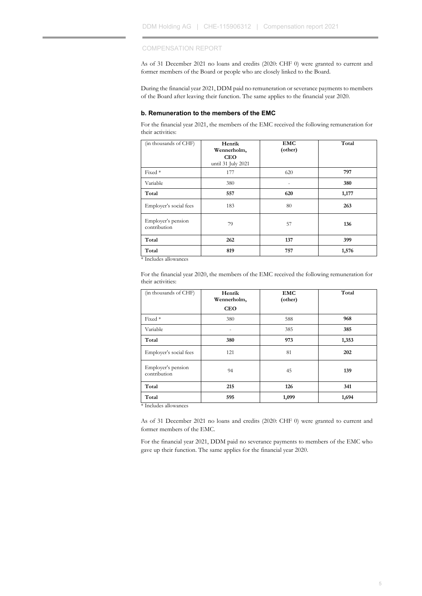As of 31 December 2021 no loans and credits (2020: CHF 0) were granted to current and former members of the Board or people who are closely linked to the Board.

During the financial year 2021, DDM paid no remuneration or severance payments to members of the Board after leaving their function. The same applies to the financial year 2020.

# **b. Remuneration to the members of the EMC**

For the financial year 2021, the members of the EMC received the following remuneration for their activities:

| (in thousands of CHF)              | Henrik<br>Wennerholm,<br><b>CEO</b><br>until 31 July 2021 | <b>EMC</b><br>(other) | Total |
|------------------------------------|-----------------------------------------------------------|-----------------------|-------|
| Fixed *                            | 177                                                       | 620                   | 797   |
| Variable                           | 380                                                       |                       | 380   |
| Total                              | 557                                                       | 620                   | 1,177 |
| Employer's social fees             | 183                                                       | 80                    | 263   |
| Employer's pension<br>contribution | 79                                                        | 57                    | 136   |
| Total                              | 262                                                       | 137                   | 399   |
| Total                              | 819                                                       | 757                   | 1,576 |

\* Includes allowances

For the financial year 2020, the members of the EMC received the following remuneration for their activities:

| (in thousands of CHF)              | Henrik<br>Wennerholm,<br><b>CEO</b> | <b>EMC</b><br>(other) | Total |
|------------------------------------|-------------------------------------|-----------------------|-------|
| Fixed *                            | 380                                 | 588                   | 968   |
| Variable                           | ۰                                   | 385                   | 385   |
| Total                              | 380                                 | 973                   | 1,353 |
| Employer's social fees             | 121                                 | 81                    | 202   |
| Employer's pension<br>contribution | 94                                  | 45                    | 139   |
| Total                              | 215                                 | 126                   | 341   |
| Total                              | 595                                 | 1,099                 | 1,694 |

\* Includes allowances

As of 31 December 2021 no loans and credits (2020: CHF 0) were granted to current and former members of the EMC.

For the financial year 2021, DDM paid no severance payments to members of the EMC who gave up their function. The same applies for the financial year 2020.